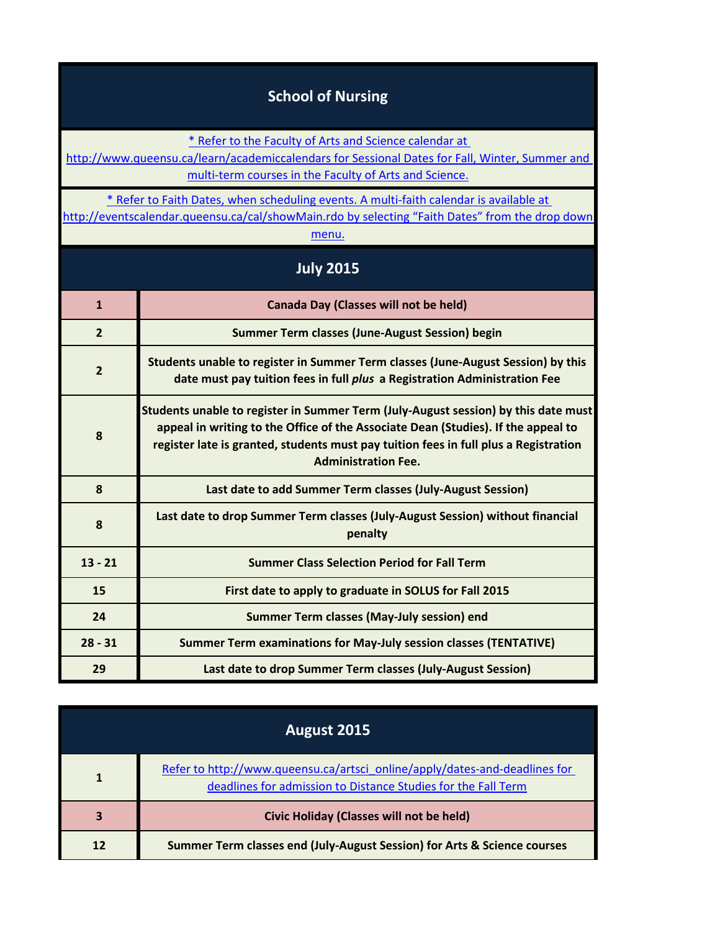## **School of Nursing**

[\\* Refer to the Faculty of Arts and Science calendar at](http://www.queensu.ca/learn/academiccalendars) 

[http://www.q](http://www.queensu.ca/learn/academiccalendars)ueensu.ca/learn/academiccalendars for Sessional Dates for Fall, Winter, Summer and multi-term courses in the Faculty of Arts and Science.

[\\* Refer to Faith Dates, when scheduling events. A multi-faith calendar is available at](http://eventscalendar.queensu.ca/cal/showMain.rdo) 

[http://eventsc](http://eventscalendar.queensu.ca/cal/showMain.rdo)alendar.queensu.ca/cal/showMain.rdo by selecting "Faith Dates" from the drop down [m](http://eventscalendar.queensu.ca/cal/showMain.rdo)enu.

| <b>July 2015</b> |                                                                                                                                                                                                                                                                                               |
|------------------|-----------------------------------------------------------------------------------------------------------------------------------------------------------------------------------------------------------------------------------------------------------------------------------------------|
| $\mathbf{1}$     | Canada Day (Classes will not be held)                                                                                                                                                                                                                                                         |
| $\overline{2}$   | <b>Summer Term classes (June-August Session) begin</b>                                                                                                                                                                                                                                        |
| $\overline{2}$   | Students unable to register in Summer Term classes (June-August Session) by this<br>date must pay tuition fees in full plus a Registration Administration Fee                                                                                                                                 |
| 8                | Students unable to register in Summer Term (July-August session) by this date must<br>appeal in writing to the Office of the Associate Dean (Studies). If the appeal to<br>register late is granted, students must pay tuition fees in full plus a Registration<br><b>Administration Fee.</b> |
| 8                | Last date to add Summer Term classes (July-August Session)                                                                                                                                                                                                                                    |
| 8                | Last date to drop Summer Term classes (July-August Session) without financial<br>penalty                                                                                                                                                                                                      |
| $13 - 21$        | <b>Summer Class Selection Period for Fall Term</b>                                                                                                                                                                                                                                            |
| 15               | First date to apply to graduate in SOLUS for Fall 2015                                                                                                                                                                                                                                        |
| 24               | Summer Term classes (May-July session) end                                                                                                                                                                                                                                                    |
| $28 - 31$        | <b>Summer Term examinations for May-July session classes (TENTATIVE)</b>                                                                                                                                                                                                                      |
| 29               | Last date to drop Summer Term classes (July-August Session)                                                                                                                                                                                                                                   |

| August 2015 |                                                                                                                                             |
|-------------|---------------------------------------------------------------------------------------------------------------------------------------------|
|             | Refer to http://www.queensu.ca/artsci_online/apply/dates-and-deadlines for<br>deadlines for admission to Distance Studies for the Fall Term |
|             | <b>Civic Holiday (Classes will not be held)</b>                                                                                             |
| 12          | Summer Term classes end (July-August Session) for Arts & Science courses                                                                    |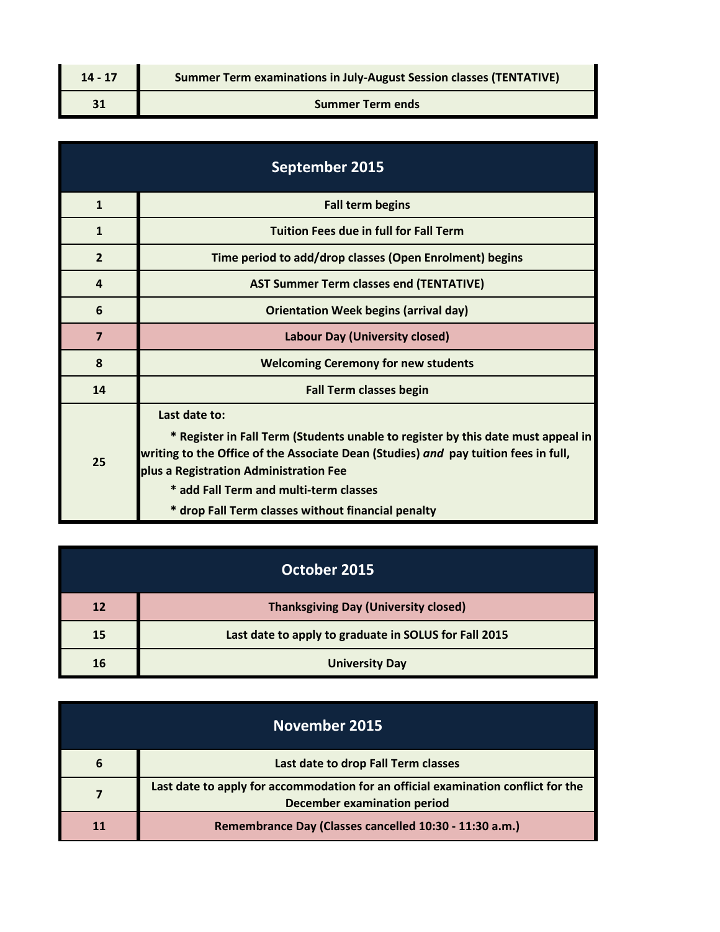| $14 - 17$ | <b>Summer Term examinations in July-August Session classes (TENTATIVE)</b> |
|-----------|----------------------------------------------------------------------------|
| 31        | <b>Summer Term ends</b>                                                    |

| September 2015 |                                                                                                                                                                                                                                                                                                                                    |
|----------------|------------------------------------------------------------------------------------------------------------------------------------------------------------------------------------------------------------------------------------------------------------------------------------------------------------------------------------|
| 1              | <b>Fall term begins</b>                                                                                                                                                                                                                                                                                                            |
| 1              | <b>Tuition Fees due in full for Fall Term</b>                                                                                                                                                                                                                                                                                      |
| $\overline{2}$ | Time period to add/drop classes (Open Enrolment) begins                                                                                                                                                                                                                                                                            |
| $\overline{a}$ | <b>AST Summer Term classes end (TENTATIVE)</b>                                                                                                                                                                                                                                                                                     |
| 6              | <b>Orientation Week begins (arrival day)</b>                                                                                                                                                                                                                                                                                       |
| $\overline{7}$ | <b>Labour Day (University closed)</b>                                                                                                                                                                                                                                                                                              |
| 8              | <b>Welcoming Ceremony for new students</b>                                                                                                                                                                                                                                                                                         |
| 14             | <b>Fall Term classes begin</b>                                                                                                                                                                                                                                                                                                     |
| 25             | Last date to:<br>* Register in Fall Term (Students unable to register by this date must appeal in<br>writing to the Office of the Associate Dean (Studies) and pay tuition fees in full,<br>plus a Registration Administration Fee<br>* add Fall Term and multi-term classes<br>* drop Fall Term classes without financial penalty |

| October 2015 |                                                       |
|--------------|-------------------------------------------------------|
| 12           | <b>Thanksgiving Day (University closed)</b>           |
| 15           | Last date to apply to graduate in SOLUS for Fall 2015 |
| 16           | <b>University Day</b>                                 |

| November 2015 |                                                                                                                         |
|---------------|-------------------------------------------------------------------------------------------------------------------------|
| 6             | Last date to drop Fall Term classes                                                                                     |
|               | Last date to apply for accommodation for an official examination conflict for the<br><b>December examination period</b> |
|               | Remembrance Day (Classes cancelled 10:30 - 11:30 a.m.)                                                                  |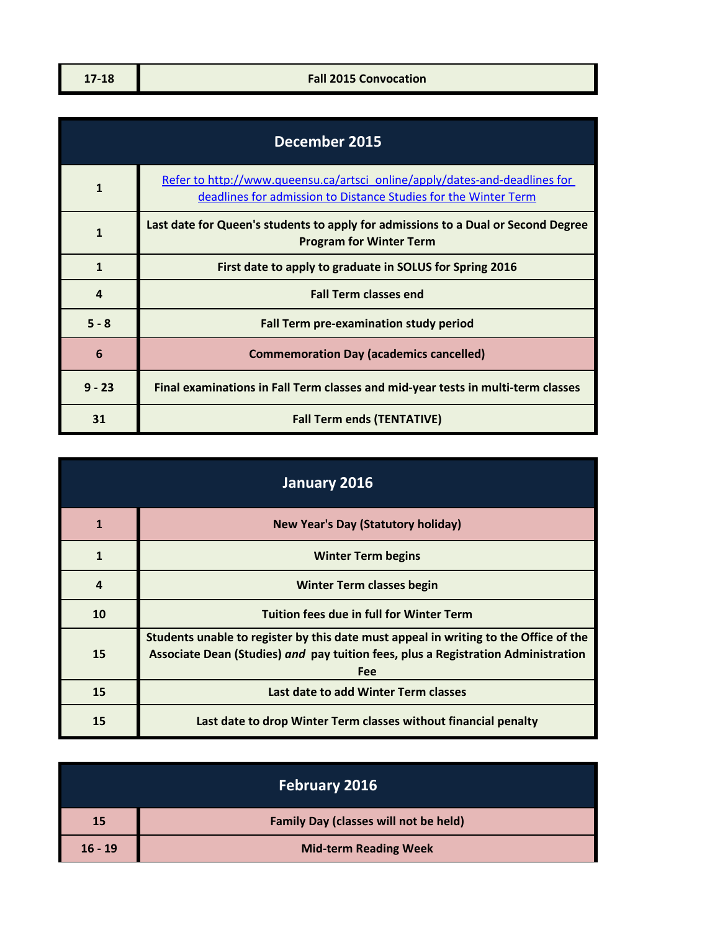| December 2015    |                                                                                                                                               |
|------------------|-----------------------------------------------------------------------------------------------------------------------------------------------|
| $\mathbf{1}$     | Refer to http://www.queensu.ca/artsci_online/apply/dates-and-deadlines for<br>deadlines for admission to Distance Studies for the Winter Term |
| $\mathbf{1}$     | Last date for Queen's students to apply for admissions to a Dual or Second Degree<br><b>Program for Winter Term</b>                           |
| $\mathbf{1}$     | First date to apply to graduate in SOLUS for Spring 2016                                                                                      |
| $\boldsymbol{4}$ | <b>Fall Term classes end</b>                                                                                                                  |
| $5 - 8$          | Fall Term pre-examination study period                                                                                                        |
| 6                | <b>Commemoration Day (academics cancelled)</b>                                                                                                |
| $9 - 23$         | Final examinations in Fall Term classes and mid-year tests in multi-term classes                                                              |
| 31               | <b>Fall Term ends (TENTATIVE)</b>                                                                                                             |

| January 2016     |                                                                                                                                                                                  |
|------------------|----------------------------------------------------------------------------------------------------------------------------------------------------------------------------------|
| $\mathbf{1}$     | <b>New Year's Day (Statutory holiday)</b>                                                                                                                                        |
| $\mathbf{1}$     | <b>Winter Term begins</b>                                                                                                                                                        |
| $\boldsymbol{4}$ | <b>Winter Term classes begin</b>                                                                                                                                                 |
| 10               | <b>Tuition fees due in full for Winter Term</b>                                                                                                                                  |
| 15               | Students unable to register by this date must appeal in writing to the Office of the<br>Associate Dean (Studies) and pay tuition fees, plus a Registration Administration<br>Fee |
| 15               | Last date to add Winter Term classes                                                                                                                                             |
| 15               | Last date to drop Winter Term classes without financial penalty                                                                                                                  |

| February 2016 |                                              |
|---------------|----------------------------------------------|
| 15            | <b>Family Day (classes will not be held)</b> |
| $16 - 19$     | <b>Mid-term Reading Week</b>                 |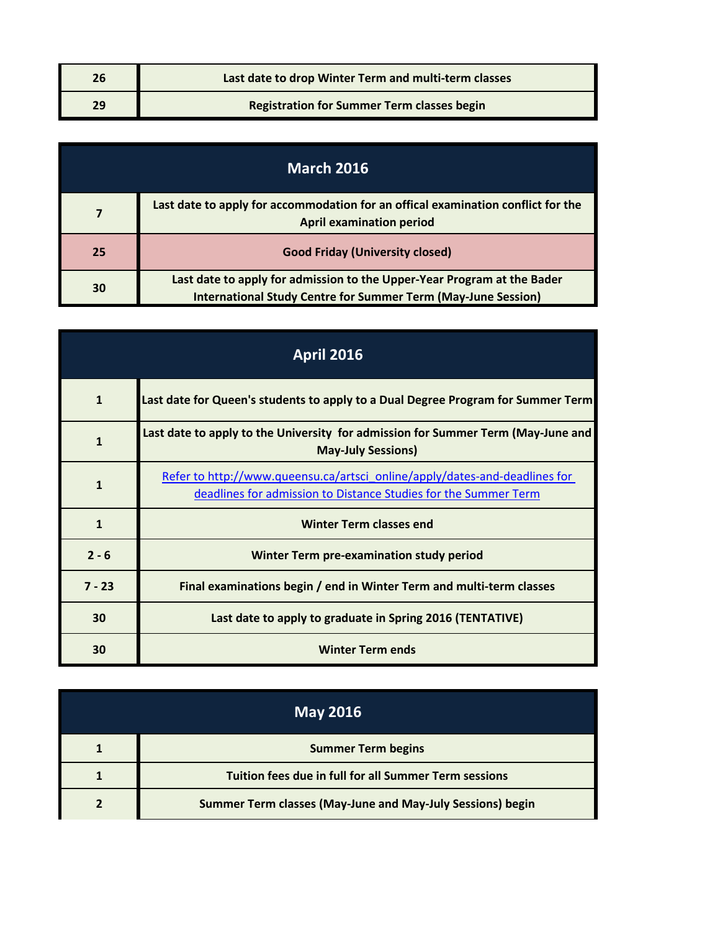| 26 | Last date to drop Winter Term and multi-term classes |
|----|------------------------------------------------------|
| 29 | <b>Registration for Summer Term classes begin</b>    |

| <b>March 2016</b> |                                                                                                                                                 |
|-------------------|-------------------------------------------------------------------------------------------------------------------------------------------------|
|                   | Last date to apply for accommodation for an offical examination conflict for the<br><b>April examination period</b>                             |
| 25                | <b>Good Friday (University closed)</b>                                                                                                          |
| 30                | Last date to apply for admission to the Upper-Year Program at the Bader<br><b>International Study Centre for Summer Term (May-June Session)</b> |

| <b>April 2016</b> |                                                                                                                                               |
|-------------------|-----------------------------------------------------------------------------------------------------------------------------------------------|
| $\mathbf{1}$      | Last date for Queen's students to apply to a Dual Degree Program for Summer Term                                                              |
| $\mathbf{1}$      | Last date to apply to the University for admission for Summer Term (May-June and<br><b>May-July Sessions)</b>                                 |
| $\mathbf{1}$      | Refer to http://www.queensu.ca/artsci_online/apply/dates-and-deadlines for<br>deadlines for admission to Distance Studies for the Summer Term |
| $\mathbf{1}$      | <b>Winter Term classes end</b>                                                                                                                |
| $2 - 6$           | Winter Term pre-examination study period                                                                                                      |
| $7 - 23$          | Final examinations begin / end in Winter Term and multi-term classes                                                                          |
| 30                | Last date to apply to graduate in Spring 2016 (TENTATIVE)                                                                                     |
| 30                | <b>Winter Term ends</b>                                                                                                                       |

| <b>May 2016</b> |                                                              |
|-----------------|--------------------------------------------------------------|
|                 | <b>Summer Term begins</b>                                    |
|                 | <b>Tuition fees due in full for all Summer Term sessions</b> |
|                 | Summer Term classes (May-June and May-July Sessions) begin   |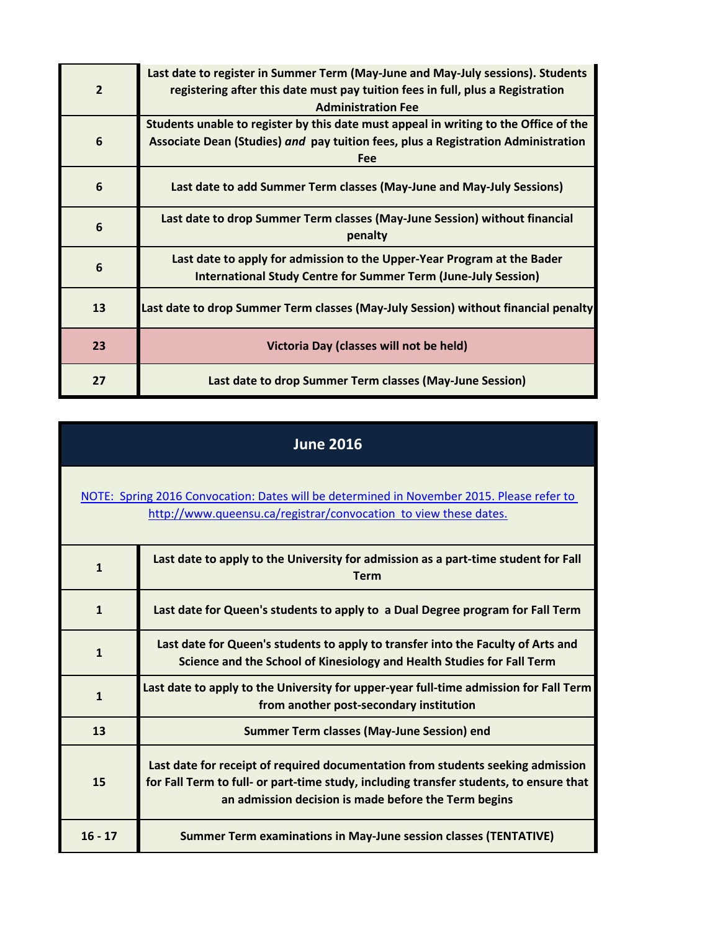| $\overline{2}$ | Last date to register in Summer Term (May-June and May-July sessions). Students<br>registering after this date must pay tuition fees in full, plus a Registration<br><b>Administration Fee</b> |
|----------------|------------------------------------------------------------------------------------------------------------------------------------------------------------------------------------------------|
| 6              | Students unable to register by this date must appeal in writing to the Office of the<br>Associate Dean (Studies) and pay tuition fees, plus a Registration Administration<br>Fee               |
| 6              | Last date to add Summer Term classes (May-June and May-July Sessions)                                                                                                                          |
| 6              | Last date to drop Summer Term classes (May-June Session) without financial<br>penalty                                                                                                          |
| 6              | Last date to apply for admission to the Upper-Year Program at the Bader<br><b>International Study Centre for Summer Term (June-July Session)</b>                                               |
| 13             | Last date to drop Summer Term classes (May-July Session) without financial penalty                                                                                                             |
| 23             | Victoria Day (classes will not be held)                                                                                                                                                        |
| 27             | Last date to drop Summer Term classes (May-June Session)                                                                                                                                       |

| <b>June 2016</b>                                                                                                                                              |                                                                                                                                                                                                                                   |  |
|---------------------------------------------------------------------------------------------------------------------------------------------------------------|-----------------------------------------------------------------------------------------------------------------------------------------------------------------------------------------------------------------------------------|--|
| NOTE: Spring 2016 Convocation: Dates will be determined in November 2015. Please refer to<br>http://www.queensu.ca/registrar/convocation to view these dates. |                                                                                                                                                                                                                                   |  |
| $\mathbf{1}$                                                                                                                                                  | Last date to apply to the University for admission as a part-time student for Fall<br><b>Term</b>                                                                                                                                 |  |
| $\mathbf{1}$                                                                                                                                                  | Last date for Queen's students to apply to a Dual Degree program for Fall Term                                                                                                                                                    |  |
| $\mathbf{1}$                                                                                                                                                  | Last date for Queen's students to apply to transfer into the Faculty of Arts and<br>Science and the School of Kinesiology and Health Studies for Fall Term                                                                        |  |
| $\mathbf{1}$                                                                                                                                                  | Last date to apply to the University for upper-year full-time admission for Fall Term<br>from another post-secondary institution                                                                                                  |  |
| 13                                                                                                                                                            | Summer Term classes (May-June Session) end                                                                                                                                                                                        |  |
| 15                                                                                                                                                            | Last date for receipt of required documentation from students seeking admission<br>for Fall Term to full- or part-time study, including transfer students, to ensure that<br>an admission decision is made before the Term begins |  |
| $16 - 17$                                                                                                                                                     | <b>Summer Term examinations in May-June session classes (TENTATIVE)</b>                                                                                                                                                           |  |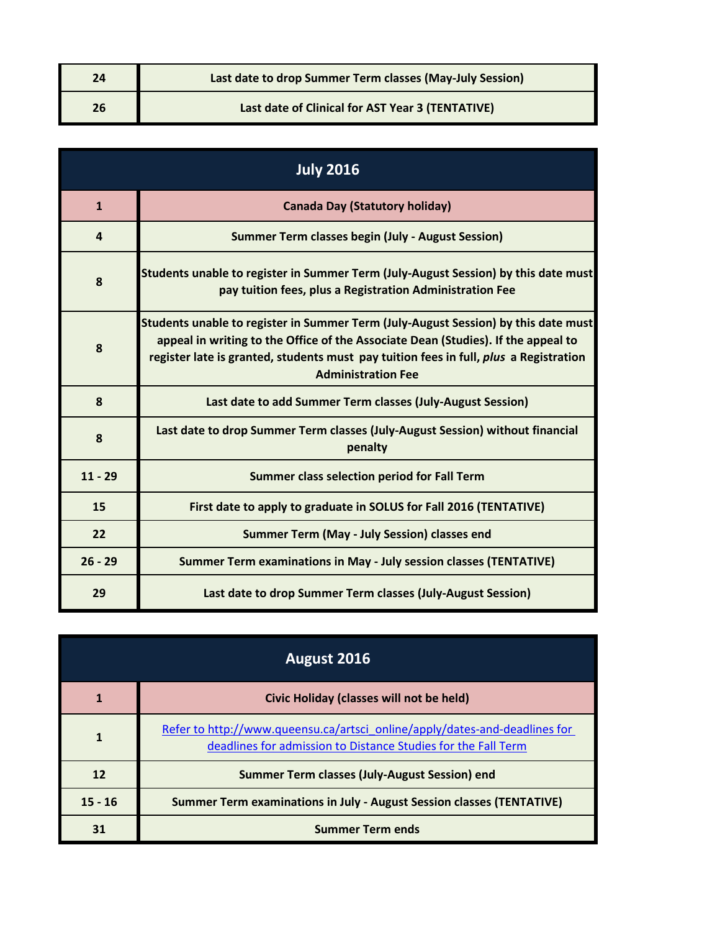| 24 | Last date to drop Summer Term classes (May-July Session) |
|----|----------------------------------------------------------|
| 26 | Last date of Clinical for AST Year 3 (TENTATIVE)         |

| <b>July 2016</b> |                                                                                                                                                                                                                                                                                               |
|------------------|-----------------------------------------------------------------------------------------------------------------------------------------------------------------------------------------------------------------------------------------------------------------------------------------------|
| $\mathbf{1}$     | <b>Canada Day (Statutory holiday)</b>                                                                                                                                                                                                                                                         |
| $\overline{4}$   | <b>Summer Term classes begin (July - August Session)</b>                                                                                                                                                                                                                                      |
| 8                | Students unable to register in Summer Term (July-August Session) by this date must<br>pay tuition fees, plus a Registration Administration Fee                                                                                                                                                |
| 8                | Students unable to register in Summer Term (July-August Session) by this date must<br>appeal in writing to the Office of the Associate Dean (Studies). If the appeal to<br>register late is granted, students must pay tuition fees in full, plus a Registration<br><b>Administration Fee</b> |
| 8                | Last date to add Summer Term classes (July-August Session)                                                                                                                                                                                                                                    |
| 8                | Last date to drop Summer Term classes (July-August Session) without financial<br>penalty                                                                                                                                                                                                      |
| $11 - 29$        | <b>Summer class selection period for Fall Term</b>                                                                                                                                                                                                                                            |
| 15               | First date to apply to graduate in SOLUS for Fall 2016 (TENTATIVE)                                                                                                                                                                                                                            |
| 22               | Summer Term (May - July Session) classes end                                                                                                                                                                                                                                                  |
| $26 - 29$        | Summer Term examinations in May - July session classes (TENTATIVE)                                                                                                                                                                                                                            |
| 29               | Last date to drop Summer Term classes (July-August Session)                                                                                                                                                                                                                                   |

| August 2016 |                                                                                                                                             |
|-------------|---------------------------------------------------------------------------------------------------------------------------------------------|
|             | Civic Holiday (classes will not be held)                                                                                                    |
|             | Refer to http://www.queensu.ca/artsci_online/apply/dates-and-deadlines for<br>deadlines for admission to Distance Studies for the Fall Term |
| 12          | <b>Summer Term classes (July-August Session) end</b>                                                                                        |
| $15 - 16$   | Summer Term examinations in July - August Session classes (TENTATIVE)                                                                       |
| 31          | <b>Summer Term ends</b>                                                                                                                     |